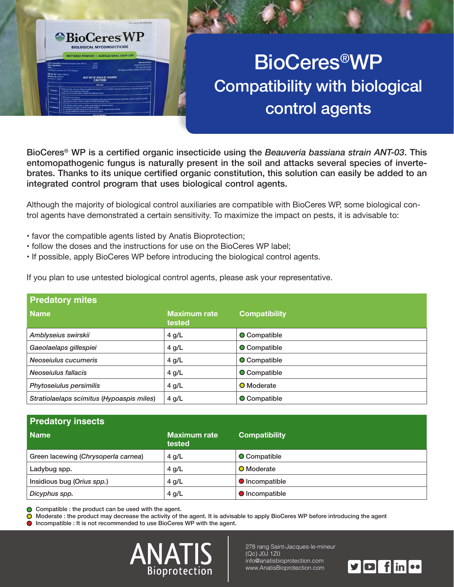

## **ENDING CONSTRUCTION CONSTRUCTION CONSTRUCTION CONSTRUCTION CONSTRUCTION CONSTRUCTION CONSTRUCTION CONSTRUCTION Compatibility with biological** control agents

BioCeres<sup>®</sup> WP is a certified organic insecticide using the *Beauveria bassiana strain ANT-03*. This brates. Thanks to its unique certified organic constitution, this solution can easily be added to an entomopathogenic fungus is naturally present in the soil and attacks several species of inverteintegrated control program that uses biological control agents.

trol agents have demonstrated a certain sensitivity. To maximize the impact on pests, it is advisable to: Although the majority of biological control auxiliaries are compatible with BioCeres WP, some biological con-

- favor the compatible agents listed by Anatis Bioprotection;
- follow the doses and the instructions for use on the BioCeres WP label;
- . If possible, apply BioCeres WP before introducing the biological control agents.

If you plan to use untested biological control agents, please ask your representative.

| <b>Predatory mites</b>                    |                               |                      |
|-------------------------------------------|-------------------------------|----------------------|
| Name                                      | <b>Maximum rate</b><br>tested | <b>Compatibility</b> |
| Amblyseius swirskii                       | $4$ g/L                       | <b>O</b> Compatible  |
| Gaeolaelaps gillespiei                    | 4 g/L                         | <b>O</b> Compatible  |
| Neoseiulus cucumeris                      | $4$ g/L                       | O Compatible         |
| Neoseiulus fallacis                       | $4$ g/L                       | <b>O</b> Compatible  |
| Phytoseiulus persimilis                   | $4$ g/L                       | <b>O</b> Moderate    |
| Stratiolaelaps scimitus (Hypoaspis miles) | $4$ g/L                       | O Compatible         |

| <b>Predatory insects</b>            |                               |                       |  |  |
|-------------------------------------|-------------------------------|-----------------------|--|--|
| <b>Name</b>                         | <b>Maximum rate</b><br>tested | <b>Compatibility</b>  |  |  |
| Green lacewing (Chrysoperla carnea) | $4$ g/L                       | <b>O</b> Compatible   |  |  |
| Ladybug spp.                        | $4$ g/L                       | <b>O</b> Moderate     |  |  |
| Insidious bug (Orius spp.)          | $4$ g/L                       | <b>O</b> Incompatible |  |  |
| Dicyphus spp.                       | $4$ g/L                       | <b>O</b> Incompatible |  |  |

 $\bigcirc$  Compatible : the product can be used with the agent.

 $\bullet$  Moderate : the product may decrease the activity of the agent. It is advisable to apply BioCeres WP before introducing the agent

 $\bullet$  Incompatible : It is not recommended to use BioCeres WP with the agent.



278 rang Saint-Jacques-le-mineur (Qc) J0J 1Z0 info@anatisbioprotection.com www.AnatisBioprotection.com